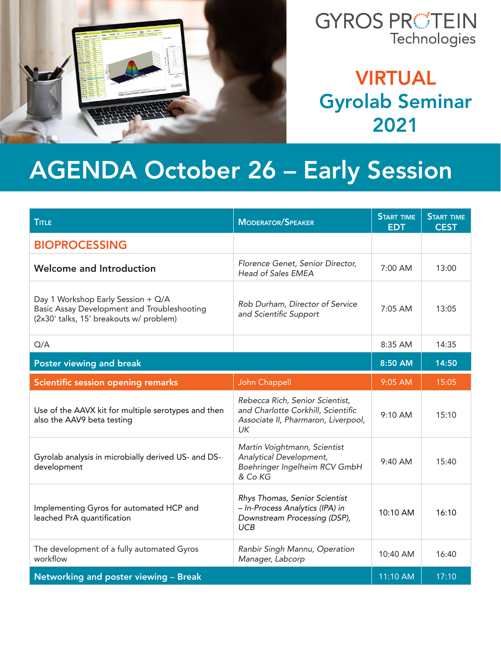

#### VIRTUAL Gyrolab Seminar 2021

## AGENDA October 26 – Early Session

| <b>TITLE</b>                                                                                                                 | MODERATOR/SPEAKER                                                                                                  | <b>START TIME</b><br><b>EDT</b> | <b>START TIME</b><br><b>CEST</b> |
|------------------------------------------------------------------------------------------------------------------------------|--------------------------------------------------------------------------------------------------------------------|---------------------------------|----------------------------------|
| <b>BIOPROCESSING</b>                                                                                                         |                                                                                                                    |                                 |                                  |
| Welcome and Introduction                                                                                                     | Florence Genet, Senior Director,<br><b>Head of Sales EMEA</b>                                                      | 7:00 AM                         | 13:00                            |
| Day 1 Workshop Early Session + Q/A<br>Basic Assay Development and Troubleshooting<br>(2x30' talks, 15' breakouts w/ problem) | Rob Durham, Director of Service<br>and Scientific Support                                                          | 7:05 AM                         | 13:05                            |
| Q/A                                                                                                                          |                                                                                                                    | 8:35 AM                         | 14:35                            |
| Poster viewing and break                                                                                                     |                                                                                                                    | 8:50 AM                         | 14:50                            |
| Scientific session opening remarks                                                                                           | John Chappell                                                                                                      | 9:05 AM                         | 15:05                            |
| Use of the AAVX kit for multiple serotypes and then<br>also the AAV9 beta testing                                            | Rebecca Rich, Senior Scientist,<br>and Charlotte Corkhill, Scientific<br>Associate II, Pharmaron, Liverpool,<br>UK | 9:10 AM                         | 15:10                            |
| Gyrolab analysis in microbially derived US- and DS-<br>development                                                           | Martin Voightmann, Scientist<br>Analytical Development,<br>Boehringer Ingelheim RCV GmbH<br>& Co KG                | $9:40$ AM                       | 15:40                            |
| Implementing Gyros for automated HCP and<br>leached PrA quantification                                                       | Rhys Thomas, Senior Scientist<br>- In-Process Analytics (IPA) in<br>Downstream Processing (DSP),<br><b>UCB</b>     | 10:10 AM                        | 16:10                            |
| The development of a fully automated Gyros<br>workflow                                                                       | Ranbir Singh Mannu, Operation<br>Manager, Labcorp                                                                  | 10:40 AM                        | 16:40                            |
| Networking and poster viewing - Break                                                                                        |                                                                                                                    | 11:10 AM                        | 17:10                            |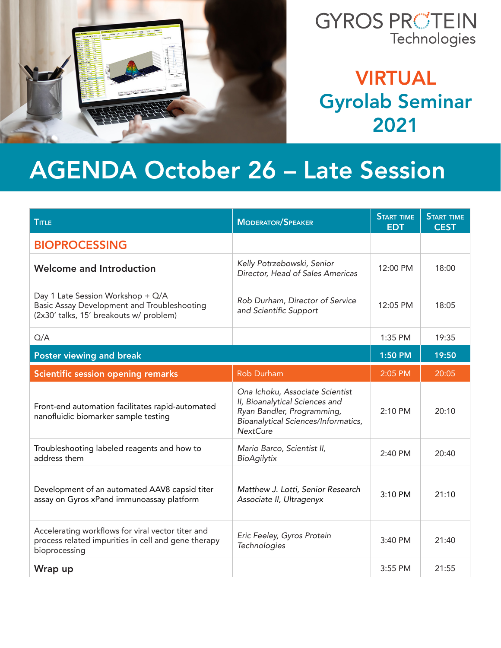

#### VIRTUAL Gyrolab Seminar 2021

## AGENDA October 26 – Late Session

| <b>TITLE</b>                                                                                                                | <b>MODERATOR/SPEAKER</b>                                                                                                                                  | <b>START TIME</b><br><b>EDT</b> | <b>START TIME</b><br><b>CEST</b> |
|-----------------------------------------------------------------------------------------------------------------------------|-----------------------------------------------------------------------------------------------------------------------------------------------------------|---------------------------------|----------------------------------|
| <b>BIOPROCESSING</b>                                                                                                        |                                                                                                                                                           |                                 |                                  |
| Welcome and Introduction                                                                                                    | Kelly Potrzebowski, Senior<br>Director, Head of Sales Americas                                                                                            | 12:00 PM                        | 18:00                            |
| Day 1 Late Session Workshop + Q/A<br>Basic Assay Development and Troubleshooting<br>(2x30' talks, 15' breakouts w/ problem) | Rob Durham, Director of Service<br>and Scientific Support                                                                                                 | 12:05 PM                        | 18:05                            |
| Q/A                                                                                                                         |                                                                                                                                                           | 1:35 PM                         | 19:35                            |
| Poster viewing and break                                                                                                    |                                                                                                                                                           | 1:50 PM                         | 19:50                            |
| Scientific session opening remarks                                                                                          | <b>Rob Durham</b>                                                                                                                                         | 2:05 PM                         | 20:05                            |
| Front-end automation facilitates rapid-automated<br>nanofluidic biomarker sample testing                                    | Ona Ichoku, Associate Scientist<br>II, Bioanalytical Sciences and<br>Ryan Bandler, Programming,<br>Bioanalytical Sciences/Informatics,<br><b>NextCure</b> | 2:10 PM                         | 20:10                            |
| Troubleshooting labeled reagents and how to<br>address them                                                                 | Mario Barco, Scientist II,<br>BioAgilytix                                                                                                                 | 2:40 PM                         | 20:40                            |
| Development of an automated AAV8 capsid titer<br>assay on Gyros xPand immunoassay platform                                  | Matthew J. Lotti, Senior Research<br>Associate II, Ultragenyx                                                                                             | 3:10 PM                         | 21:10                            |
| Accelerating workflows for viral vector titer and<br>process related impurities in cell and gene therapy<br>bioprocessing   | Eric Feeley, Gyros Protein<br>Technologies                                                                                                                | 3:40 PM                         | 21:40                            |
| Wrap up                                                                                                                     |                                                                                                                                                           | 3:55 PM                         | 21:55                            |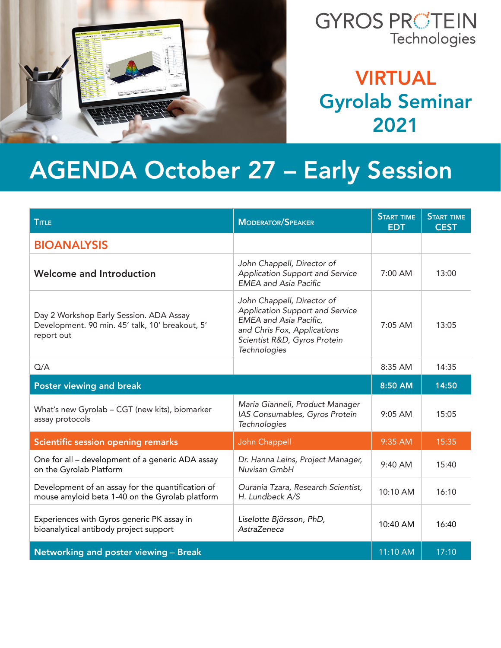

#### VIRTUAL Gyrolab Seminar 2021

# AGENDA October 27 – Early Session

| <b>TITLE</b>                                                                                             | <b>MODERATOR/SPEAKER</b>                                                                                                                                                      | <b>START TIME</b><br><b>EDT</b> | <b>START TIME</b><br><b>CEST</b> |
|----------------------------------------------------------------------------------------------------------|-------------------------------------------------------------------------------------------------------------------------------------------------------------------------------|---------------------------------|----------------------------------|
| <b>BIOANALYSIS</b>                                                                                       |                                                                                                                                                                               |                                 |                                  |
| Welcome and Introduction                                                                                 | John Chappell, Director of<br>Application Support and Service<br><b>EMEA</b> and Asia Pacific                                                                                 | 7:00 AM                         | 13:00                            |
| Day 2 Workshop Early Session. ADA Assay<br>Development. 90 min. 45' talk, 10' breakout, 5'<br>report out | John Chappell, Director of<br>Application Support and Service<br><b>EMEA</b> and Asia Pacific,<br>and Chris Fox, Applications<br>Scientist R&D, Gyros Protein<br>Technologies | 7:05 AM                         | 13:05                            |
| Q/A                                                                                                      |                                                                                                                                                                               | 8:35 AM                         | 14:35                            |
| Poster viewing and break                                                                                 |                                                                                                                                                                               | 8:50 AM                         | 14:50                            |
| What's new Gyrolab - CGT (new kits), biomarker<br>assay protocols                                        | Maria Gianneli, Product Manager<br>IAS Consumables, Gyros Protein<br>Technologies                                                                                             | $9:05$ AM                       | 15:05                            |
| Scientific session opening remarks                                                                       | John Chappell                                                                                                                                                                 | 9:35 AM                         | 15:35                            |
| One for all - development of a generic ADA assay<br>on the Gyrolab Platform                              | Dr. Hanna Leins, Project Manager,<br>Nuvisan GmbH                                                                                                                             | 9:40 AM                         | 15:40                            |
| Development of an assay for the quantification of<br>mouse amyloid beta 1-40 on the Gyrolab platform     | Ourania Tzara, Research Scientist,<br>H. Lundbeck A/S                                                                                                                         | 10:10 AM                        | 16:10                            |
| Experiences with Gyros generic PK assay in<br>bioanalytical antibody project support                     | Liselotte Björsson, PhD,<br>AstraZeneca                                                                                                                                       | 10:40 AM                        | 16:40                            |
| Networking and poster viewing - Break                                                                    |                                                                                                                                                                               | 11:10 AM                        | 17:10                            |